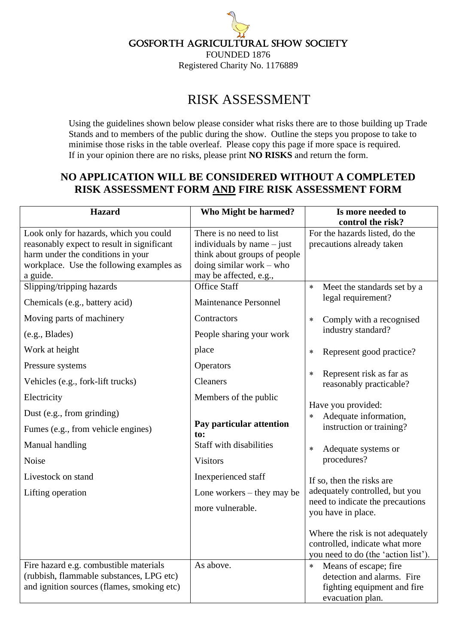## Gosforth Agricultural Show Society

FOUNDED 1876 Registered Charity No. 1176889

## RISK ASSESSMENT

Using the guidelines shown below please consider what risks there are to those building up Trade Stands and to members of the public during the show. Outline the steps you propose to take to minimise those risks in the table overleaf. Please copy this page if more space is required. If in your opinion there are no risks, please print **NO RISKS** and return the form.

## **NO APPLICATION WILL BE CONSIDERED WITHOUT A COMPLETED RISK ASSESSMENT FORM AND FIRE RISK ASSESSMENT FORM**

| <b>Hazard</b>                                                                                                                                                                     | Who Might be harmed?                                                                                                                                                                     | Is more needed to<br>control the risk?                                                                                                                                                                                                              |
|-----------------------------------------------------------------------------------------------------------------------------------------------------------------------------------|------------------------------------------------------------------------------------------------------------------------------------------------------------------------------------------|-----------------------------------------------------------------------------------------------------------------------------------------------------------------------------------------------------------------------------------------------------|
| Look only for hazards, which you could<br>reasonably expect to result in significant<br>harm under the conditions in your<br>workplace. Use the following examples as<br>a guide. | There is no need to list<br>individuals by name $-$ just<br>think about groups of people<br>doing similar work – who<br>may be affected, e.g.,                                           | For the hazards listed, do the<br>precautions already taken                                                                                                                                                                                         |
| Slipping/tripping hazards<br>Chemicals (e.g., battery acid)                                                                                                                       | <b>Office Staff</b><br><b>Maintenance Personnel</b>                                                                                                                                      | Meet the standards set by a<br>$\ast$<br>legal requirement?                                                                                                                                                                                         |
| Moving parts of machinery<br>(e.g., Blades)                                                                                                                                       | Contractors<br>People sharing your work                                                                                                                                                  | Comply with a recognised<br>$\ast$<br>industry standard?                                                                                                                                                                                            |
| Work at height                                                                                                                                                                    | place                                                                                                                                                                                    | Represent good practice?<br>$\ast$                                                                                                                                                                                                                  |
| Pressure systems<br>Vehicles (e.g., fork-lift trucks)                                                                                                                             | Operators<br><b>Cleaners</b>                                                                                                                                                             | Represent risk as far as<br>$\ast$<br>reasonably practicable?                                                                                                                                                                                       |
| Electricity<br>Dust (e.g., from grinding)<br>Fumes (e.g., from vehicle engines)<br>Manual handling<br>Noise<br>Livestock on stand<br>Lifting operation                            | Members of the public<br>Pay particular attention<br>to:<br><b>Staff with disabilities</b><br><b>Visitors</b><br>Inexperienced staff<br>Lone workers $-$ they may be<br>more vulnerable. | Have you provided:<br>Adequate information,<br>$\ast$<br>instruction or training?<br>Adequate systems or<br>$\ast$<br>procedures?<br>If so, then the risks are<br>adequately controlled, but you<br>need to indicate the precautions                |
| Fire hazard e.g. combustible materials<br>(rubbish, flammable substances, LPG etc)<br>and ignition sources (flames, smoking etc)                                                  | As above.                                                                                                                                                                                | you have in place.<br>Where the risk is not adequately<br>controlled, indicate what more<br>you need to do (the 'action list').<br>$\ast$<br>Means of escape; fire<br>detection and alarms. Fire<br>fighting equipment and fire<br>evacuation plan. |